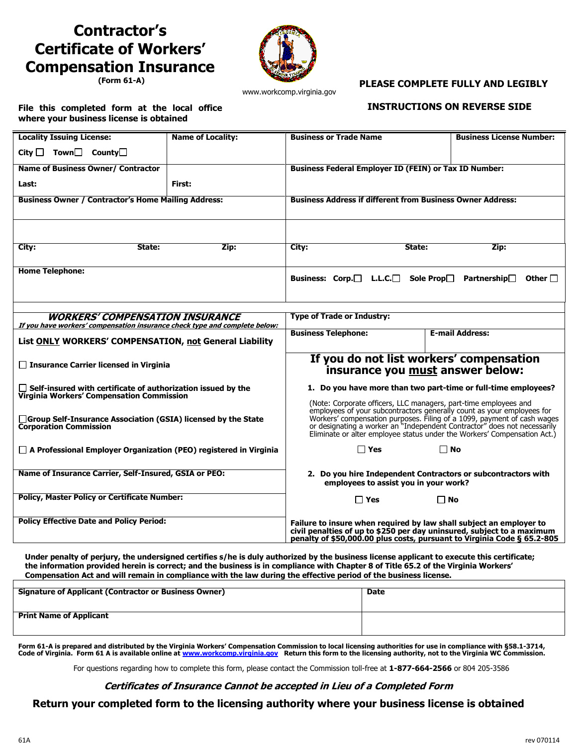# **Contractor's Certificate of Workers' Compensation Insurance**

**(Form 61-A)**



www.workcomp.virginia.gov

## **PLEASE COMPLETE FULLY AND LEGIBLY**

#### **File this completed form at the local office where your business license is obtained**

## **INSTRUCTIONS ON REVERSE SIDE**

| <b>Locality Issuing License:</b>                                                                          | <b>Name of Locality:</b> | <b>Business or Trade Name</b>                                                                                                                                                                                                                                                                                                                                                  |        | <b>Business License Number:</b>       |
|-----------------------------------------------------------------------------------------------------------|--------------------------|--------------------------------------------------------------------------------------------------------------------------------------------------------------------------------------------------------------------------------------------------------------------------------------------------------------------------------------------------------------------------------|--------|---------------------------------------|
| City $\Box$ Town $\Box$ County $\Box$                                                                     |                          |                                                                                                                                                                                                                                                                                                                                                                                |        |                                       |
| <b>Name of Business Owner/ Contractor</b>                                                                 |                          | <b>Business Federal Employer ID (FEIN) or Tax ID Number:</b>                                                                                                                                                                                                                                                                                                                   |        |                                       |
| Last:                                                                                                     | First:                   |                                                                                                                                                                                                                                                                                                                                                                                |        |                                       |
| <b>Business Owner / Contractor's Home Mailing Address:</b>                                                |                          | <b>Business Address if different from Business Owner Address:</b>                                                                                                                                                                                                                                                                                                              |        |                                       |
|                                                                                                           |                          |                                                                                                                                                                                                                                                                                                                                                                                |        |                                       |
| City:<br>State:                                                                                           | Zip:                     | City:                                                                                                                                                                                                                                                                                                                                                                          | State: | Zip:                                  |
| <b>Home Telephone:</b>                                                                                    |                          | Business: Corp.□ L.L.C.□ Sole Prop□                                                                                                                                                                                                                                                                                                                                            |        | Partnership $\Box$<br>Other $\square$ |
| <b>WORKERS' COMPENSATION INSURANCE</b>                                                                    |                          | <b>Type of Trade or Industry:</b>                                                                                                                                                                                                                                                                                                                                              |        |                                       |
| If you have workers' compensation insurance check type and complete below:                                |                          | <b>Business Telephone:</b>                                                                                                                                                                                                                                                                                                                                                     |        | <b>E-mail Address:</b>                |
| List ONLY WORKERS' COMPENSATION, not General Liability                                                    |                          |                                                                                                                                                                                                                                                                                                                                                                                |        |                                       |
| □ Insurance Carrier licensed in Virginia                                                                  |                          | If you do not list workers' compensation<br>insurance you must answer below:                                                                                                                                                                                                                                                                                                   |        |                                       |
| Self-insured with certificate of authorization issued by the<br>Virginia Workers' Compensation Commission |                          | 1. Do you have more than two part-time or full-time employees?                                                                                                                                                                                                                                                                                                                 |        |                                       |
| □ Group Self-Insurance Association (GSIA) licensed by the State<br><b>Corporation Commission</b>          |                          | (Note: Corporate officers, LLC managers, part-time employees and<br>employees of your subcontractors generally count as your employees for<br>Workers' compensation purposes. Filling of a 1099, payment of cash wages<br>or designating a worker an "Independent Contractor" does not necessarily<br>Eliminate or alter employee status under the Workers' Compensation Act.) |        |                                       |
| $\Box$ A Professional Employer Organization (PEO) registered in Virginia                                  |                          | $\Box$ Yes                                                                                                                                                                                                                                                                                                                                                                     |        | ΠNo                                   |
| Name of Insurance Carrier, Self-Insured, GSIA or PEO:                                                     |                          | 2. Do you hire Independent Contractors or subcontractors with<br>employees to assist you in your work?                                                                                                                                                                                                                                                                         |        |                                       |
| <b>Policy, Master Policy or Certificate Number:</b>                                                       |                          | $\square$ Yes                                                                                                                                                                                                                                                                                                                                                                  |        | $\Box$ No                             |
| <b>Policy Effective Date and Policy Period:</b>                                                           |                          | Failure to insure when required by law shall subject an employer to<br>civil penalties of up to \$250 per day uninsured, subject to a maximum<br>penalty of \$50,000.00 plus costs, pursuant to Virginia Code § 65.2-805                                                                                                                                                       |        |                                       |

**Under penalty of perjury, the undersigned certifies s/he is duly authorized by the business license applicant to execute this certificate; the information provided herein is correct; and the business is in compliance with Chapter 8 of Title 65.2 of the Virginia Workers' Compensation Act and will remain in compliance with the law during the effective period of the business license.**

| <b>Signature of Applicant (Contractor or Business Owner)</b> | Date |
|--------------------------------------------------------------|------|
| <b>Print Name of Applicant</b>                               |      |

Form 61-A is prepared and distributed by the Virginia Workers' Compensation Commission to local licensing authorities for use in compliance with §58.1-3714,<br>Code of Virginia. Form 61 A is available online at <u>www.workcomp</u>

For questions regarding how to complete this form, please contact the Commission toll-free at **1-877-664-2566** or 804 205-3586

## **Certificates of Insurance Cannot be accepted in Lieu of a Completed Form**

**Return your completed form to the licensing authority where your business license is obtained**